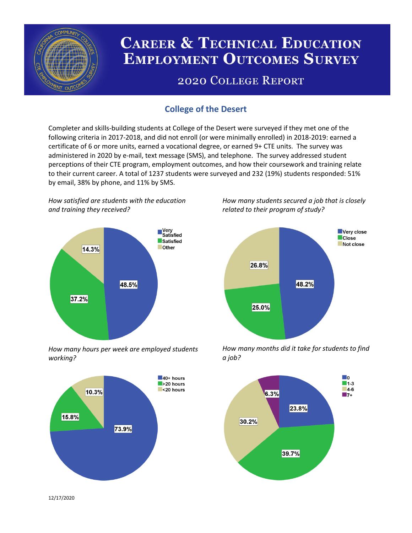

# **CAREER & TECHNICAL EDUCATION EMPLOYMENT OUTCOMES SURVEY**

## **2020 COLLEGE REPORT**

## **College of the Desert**

Completer and skills-building students at College of the Desert were surveyed if they met one of the following criteria in 2017-2018, and did not enroll (or were minimally enrolled) in 2018-2019: earned a certificate of 6 or more units, earned a vocational degree, or earned 9+ CTE units. The survey was administered in 2020 by e-mail, text message (SMS), and telephone. The survey addressed student perceptions of their CTE program, employment outcomes, and how their coursework and training relate to their current career. A total of 1237 students were surveyed and 232 (19%) students responded: 51% by email, 38% by phone, and 11% by SMS.

*How satisfied are students with the education and training they received?*



*How many hours per week are employed students working?*



*How many students secured a job that is closely related to their program of study?*



*How many months did it take for students to find a job?*



12/17/2020